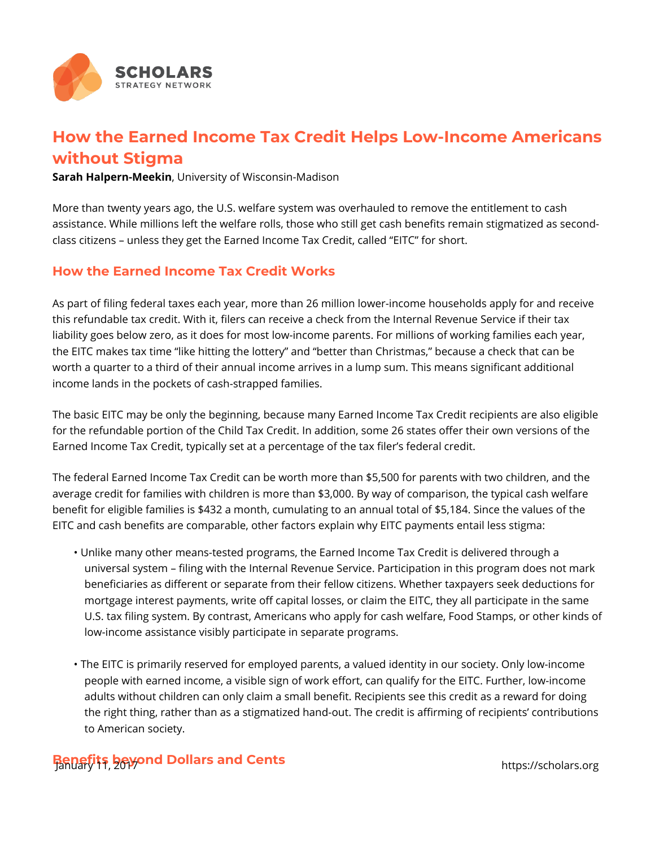

## **How the Earned Income Tax Credit Helps Low-Income Americans without Stigma**

**Sarah Halpern-Meekin**, University of Wisconsin-Madison

More than twenty years ago, the U.S. welfare system was overhauled to remove the entitlement to cash assistance. While millions left the welfare rolls, those who still get cash benefits remain stigmatized as secondclass citizens – unless they get the Earned Income Tax Credit, called "EITC" for short.

## **How the Earned Income Tax Credit Works**

As part of filing federal taxes each year, more than 26 million lower-income households apply for and receive this refundable tax credit. With it, filers can receive a check from the Internal Revenue Service if their tax liability goes below zero, as it does for most low-income parents. For millions of working families each year, the EITC makes tax time "like hitting the lottery" and "better than Christmas," because a check that can be worth a quarter to a third of their annual income arrives in a lump sum. This means significant additional income lands in the pockets of cash-strapped families.

The basic EITC may be only the beginning, because many Earned Income Tax Credit recipients are also eligible for the refundable portion of the Child Tax Credit. In addition, some 26 states offer their own versions of the Earned Income Tax Credit, typically set at a percentage of the tax filer's federal credit.

The federal Earned Income Tax Credit can be worth more than \$5,500 for parents with two children, and the average credit for families with children is more than \$3,000. By way of comparison, the typical cash welfare benefit for eligible families is \$432 a month, cumulating to an annual total of \$5,184. Since the values of the EITC and cash benefits are comparable, other factors explain why EITC payments entail less stigma:

- Unlike many other means-tested programs, the Earned Income Tax Credit is delivered through a universal system – filing with the Internal Revenue Service. Participation in this program does not mark beneficiaries as different or separate from their fellow citizens. Whether taxpayers seek deductions for mortgage interest payments, write off capital losses, or claim the EITC, they all participate in the same U.S. tax filing system. By contrast, Americans who apply for cash welfare, Food Stamps, or other kinds of low-income assistance visibly participate in separate programs.
- The EITC is primarily reserved for employed parents, a valued identity in our society. Only low-income people with earned income, a visible sign of work effort, can qualify for the EITC. Further, low-income adults without children can only claim a small benefit. Recipients see this credit as a reward for doing the right thing, rather than as a stigmatized hand-out. The credit is affirming of recipients' contributions to American society.

## **Benefits beyond Dollars and Cents** January 11, 2017 https://scholars.org